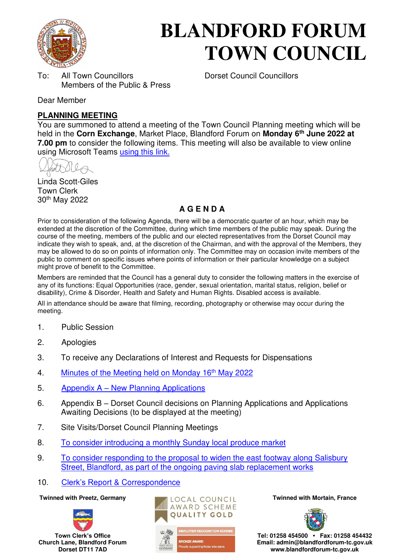

# **BLANDFORD FORUM TOWN COUNCIL**

To: All Town Councillors Dorset Council Councillors Members of the Public & Press

Dear Member

#### **PLANNING MEETING**

You are summoned to attend a meeting of the Town Council Planning meeting which will be held in the **Corn Exchange**, Market Place, Blandford Forum on **Monday 6th June 2022 at 7.00 pm** to consider the following items. This meeting will also be available to view online using Microsoft Teams [using this link.](https://teams.microsoft.com/l/meetup-join/19%3a2cb1b1f9de074efdad40308940ab9ba0%40thread.tacv2/1650538507656?context=%7b%22Tid%22%3a%223cd8f2fb-4c45-4162-86f1-fb87b5f6a138%22%2c%22Oid%22%3a%2265e5950c-ab1c-41cc-9090-4a755c733f54%22%7d)

Linda Scott-Giles Town Clerk 30th May 2022

#### **A G E N D A**

Prior to consideration of the following Agenda, there will be a democratic quarter of an hour, which may be extended at the discretion of the Committee, during which time members of the public may speak. During the course of the meeting, members of the public and our elected representatives from the Dorset Council may indicate they wish to speak, and, at the discretion of the Chairman, and with the approval of the Members, they may be allowed to do so on points of information only. The Committee may on occasion invite members of the public to comment on specific issues where points of information or their particular knowledge on a subject might prove of benefit to the Committee.

Members are reminded that the Council has a general duty to consider the following matters in the exercise of any of its functions: Equal Opportunities (race, gender, sexual orientation, marital status, religion, belief or disability), Crime & Disorder, Health and Safety and Human Rights. Disabled access is available.

All in attendance should be aware that filming, recording, photography or otherwise may occur during the meeting.

- 1. Public Session
- 2. Apologies
- 3. To receive any Declarations of Interest and Requests for Dispensations
- 4. [Minutes of the Meeting held on Monday 16](https://blandfordforum-tc.gov.uk/wp-content/uploads/2022/05/160522.pdf)<sup>th</sup> May 2022
- 5. Appendix A – [New Planning Applications](#page-1-0)
- 6. Appendix B Dorset Council decisions on Planning Applications and Applications Awaiting Decisions (to be displayed at the meeting)
- 7. Site Visits/Dorset Council Planning Meetings
- 8. [To consider introducing a monthly Sunday local produce market](#page-4-0)
- 9. [To consider responding to the proposal to widen the east footway along Salisbury](#page-5-0)  [Street, Blandford, as part of the ongoing paving slab replacement works](#page-5-0)
- 10. Clerk's Rep[ort & Correspondence](#page-6-0)







**Tel: 01258 454500 • Fax: 01258 454432 Email: admin@blandfordforum-tc.gov.uk www.blandfordforum-tc.gov.uk**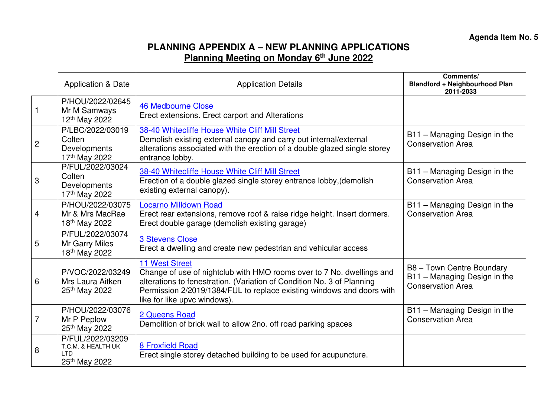## **PLANNING APPENDIX A – NEW PLANNING APPLICATIONS Planning Meeting on Monday 6th June 2022**

<span id="page-1-0"></span>

|                | <b>Application &amp; Date</b>                                                                                                                                                                                                   | <b>Application Details</b>                                                                                                                                                                                                                                                        | Comments/<br><b>Blandford + Neighbourhood Plan</b><br>2011-2033                       |
|----------------|---------------------------------------------------------------------------------------------------------------------------------------------------------------------------------------------------------------------------------|-----------------------------------------------------------------------------------------------------------------------------------------------------------------------------------------------------------------------------------------------------------------------------------|---------------------------------------------------------------------------------------|
|                | P/HOU/2022/02645<br>Mr M Samways<br>12 <sup>th</sup> May 2022                                                                                                                                                                   | <b>46 Medbourne Close</b><br>Erect extensions. Erect carport and Alterations                                                                                                                                                                                                      |                                                                                       |
| $\overline{c}$ | P/LBC/2022/03019<br>Colten<br>Developments<br>17th May 2022                                                                                                                                                                     | 38-40 Whitecliffe House White Cliff Mill Street<br>Demolish existing external canopy and carry out internal/external<br>alterations associated with the erection of a double glazed single storey<br>entrance lobby.                                                              | B11 - Managing Design in the<br><b>Conservation Area</b>                              |
| 3              | P/FUL/2022/03024<br>38-40 Whitecliffe House White Cliff Mill Street<br>Colten<br>Erection of a double glazed single storey entrance lobby, (demolish<br>Developments<br>existing external canopy).<br>17 <sup>th</sup> May 2022 |                                                                                                                                                                                                                                                                                   | B11 - Managing Design in the<br><b>Conservation Area</b>                              |
| 4              | P/HOU/2022/03075<br>Mr & Mrs MacRae<br>18th May 2022                                                                                                                                                                            | <b>Locarno Milldown Road</b><br>Erect rear extensions, remove roof & raise ridge height. Insert dormers.<br>Erect double garage (demolish existing garage)                                                                                                                        | B11 - Managing Design in the<br><b>Conservation Area</b>                              |
| 5              | P/FUL/2022/03074<br>Mr Garry Miles<br>18th May 2022                                                                                                                                                                             | <b>3 Stevens Close</b><br>Erect a dwelling and create new pedestrian and vehicular access                                                                                                                                                                                         |                                                                                       |
| 6              | P/VOC/2022/03249<br>Mrs Laura Aitken<br>25 <sup>th</sup> May 2022                                                                                                                                                               | <b>11 West Street</b><br>Change of use of nightclub with HMO rooms over to 7 No. dwellings and<br>alterations to fenestration. (Variation of Condition No. 3 of Planning<br>Permission 2/2019/1384/FUL to replace existing windows and doors with<br>like for like upvc windows). | B8 - Town Centre Boundary<br>B11 - Managing Design in the<br><b>Conservation Area</b> |
| $\overline{7}$ | P/HOU/2022/03076<br>Mr P Peplow<br>25 <sup>th</sup> May 2022                                                                                                                                                                    | 2 Queens Road<br>Demolition of brick wall to allow 2no. off road parking spaces                                                                                                                                                                                                   | B11 - Managing Design in the<br><b>Conservation Area</b>                              |
| 8              | P/FUL/2022/03209<br>T.C.M. & HEALTH UK<br>I TD<br>25th May 2022                                                                                                                                                                 | <b>8 Froxfield Road</b><br>Erect single storey detached building to be used for acupuncture.                                                                                                                                                                                      |                                                                                       |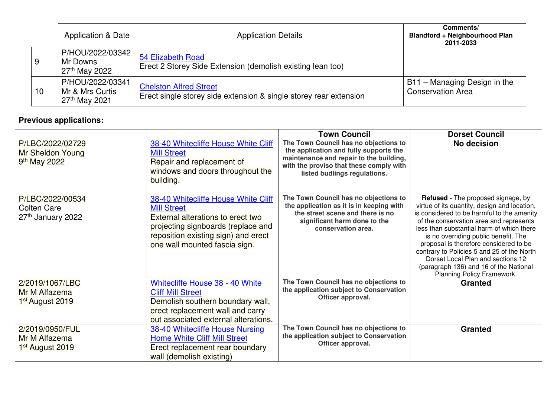|    | <b>Application &amp; Date</b>                             | <b>Application Details</b>                                                                         | Comments/<br><b>Blandford + Neighbourhood Plan</b><br>2011-2033 |
|----|-----------------------------------------------------------|----------------------------------------------------------------------------------------------------|-----------------------------------------------------------------|
| 9  | P/HOU/2022/03342<br>Mr Downs<br>27 <sup>th</sup> May 2022 | 54 Elizabeth Road<br>Erect 2 Storey Side Extension (demolish existing lean too)                    |                                                                 |
| 10 | P/HOU/2022/03341<br>Mr & Mrs Curtis<br>$27th$ May 2021    | <b>Chelston Alfred Street</b><br>Erect single storey side extension & single storey rear extension | B11 – Managing Design in the<br><b>Conservation Area</b>        |

# **Previous applications:**

|                                                                  |                                                                                                                                                                                                              | <b>Town Council</b>                                                                                                                                                                                   | <b>Dorset Council</b>                                                                                                                                                                                                                                                                                                                                                                                                                                                        |
|------------------------------------------------------------------|--------------------------------------------------------------------------------------------------------------------------------------------------------------------------------------------------------------|-------------------------------------------------------------------------------------------------------------------------------------------------------------------------------------------------------|------------------------------------------------------------------------------------------------------------------------------------------------------------------------------------------------------------------------------------------------------------------------------------------------------------------------------------------------------------------------------------------------------------------------------------------------------------------------------|
| P/LBC/2022/02729<br>Mr Sheldon Young<br>9 <sup>th</sup> May 2022 | 38-40 Whitecliffe House White Cliff<br><b>Mill Street</b><br>Repair and replacement of<br>windows and doors throughout the<br>building.                                                                      | The Town Council has no objections to<br>the application and fully supports the<br>maintenance and repair to the building,<br>with the proviso that these comply with<br>listed budlings regulations. | No decision                                                                                                                                                                                                                                                                                                                                                                                                                                                                  |
| P/LBC/2022/00534<br><b>Colten Care</b><br>27th January 2022      | 38-40 Whitecliffe House White Cliff<br><b>Mill Street</b><br>External alterations to erect two<br>projecting signboards (replace and<br>reposition existing sign) and erect<br>one wall mounted fascia sign. | The Town Council has no objections to<br>the application as it is in keeping with<br>the street scene and there is no<br>significant harm done to the<br>conservation area.                           | <b>Refused - The proposed signage, by</b><br>virtue of its quantity, design and location,<br>is considered to be harmful to the amenity<br>of the conservation area and represents<br>less than substantial harm of which there<br>is no overriding public benefit. The<br>proposal is therefore considered to be<br>contrary to Policies 5 and 25 of the North<br>Dorset Local Plan and sections 12<br>(paragraph 136) and 16 of the National<br>Planning Policy Framework. |
| 2/2019/1067/LBC<br>Mr M Alfazema<br>1 <sup>st</sup> August 2019  | Whitecliffe House 38 - 40 White<br><b>Cliff Mill Street</b><br>Demolish southern boundary wall,<br>erect replacement wall and carry<br>out associated external alterations.                                  | The Town Council has no objections to<br>the application subject to Conservation<br>Officer approval.                                                                                                 | <b>Granted</b>                                                                                                                                                                                                                                                                                                                                                                                                                                                               |
| 2/2019/0950/FUL<br>Mr M Alfazema<br>1 <sup>st</sup> August 2019  | 38-40 Whitecliffe House Nursing<br><b>Home White Cliff Mill Street</b><br>Erect replacement rear boundary<br>wall (demolish existing)                                                                        | The Town Council has no objections to<br>the application subject to Conservation<br>Officer approval.                                                                                                 | <b>Granted</b>                                                                                                                                                                                                                                                                                                                                                                                                                                                               |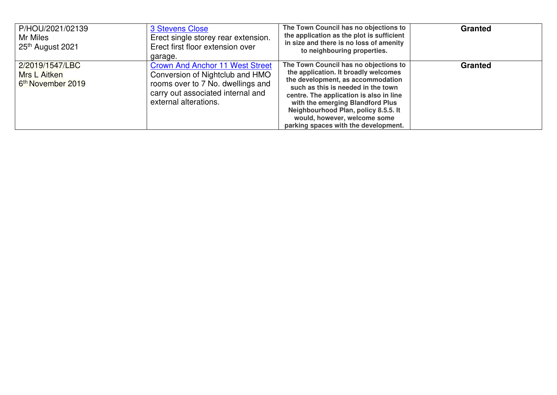| P/HOU/2021/02139<br>Mr Miles<br>25 <sup>th</sup> August 2021     | 3 Stevens Close<br>Erect single storey rear extension.<br>Erect first floor extension over<br>garage.                                                                        | The Town Council has no objections to<br>the application as the plot is sufficient<br>in size and there is no loss of amenity<br>to neighbouring properties.                                                                                                                                                                                            | <b>Granted</b> |
|------------------------------------------------------------------|------------------------------------------------------------------------------------------------------------------------------------------------------------------------------|---------------------------------------------------------------------------------------------------------------------------------------------------------------------------------------------------------------------------------------------------------------------------------------------------------------------------------------------------------|----------------|
| 2/2019/1547/LBC<br>Mrs L Aitken<br>6 <sup>th</sup> November 2019 | <b>Crown And Anchor 11 West Street</b><br>Conversion of Nightclub and HMO<br>rooms over to 7 No. dwellings and<br>carry out associated internal and<br>external alterations. | The Town Council has no objections to<br>the application. It broadly welcomes<br>the development, as accommodation<br>such as this is needed in the town<br>centre. The application is also in line<br>with the emerging Blandford Plus<br>Neighbourhood Plan, policy 8.5.5. It<br>would, however, welcome some<br>parking spaces with the development. | <b>Granted</b> |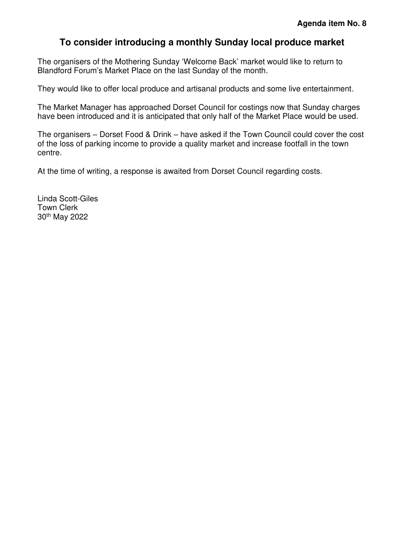#### **To consider introducing a monthly Sunday local produce market**

<span id="page-4-0"></span>The organisers of the Mothering Sunday 'Welcome Back' market would like to return to Blandford Forum's Market Place on the last Sunday of the month.

They would like to offer local produce and artisanal products and some live entertainment.

The Market Manager has approached Dorset Council for costings now that Sunday charges have been introduced and it is anticipated that only half of the Market Place would be used.

The organisers – Dorset Food & Drink – have asked if the Town Council could cover the cost of the loss of parking income to provide a quality market and increase footfall in the town centre.

At the time of writing, a response is awaited from Dorset Council regarding costs.

Linda Scott-Giles Town Clerk 30th May 2022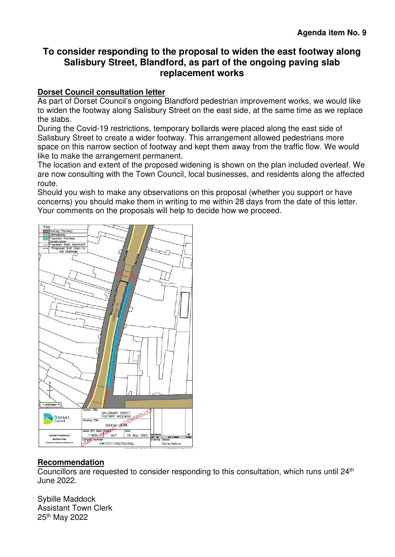### <span id="page-5-0"></span>**To consider responding to the proposal to widen the east footway along Salisbury Street, Blandford, as part of the ongoing paving slab replacement works**

#### **Dorset Council consultation letter**

As part of Dorset Council's ongoing Blandford pedestrian improvement works, we would like to widen the footway along Salisbury Street on the east side, at the same time as we replace the slabs.

During the Covid-19 restrictions, temporary bollards were placed along the east side of Salisbury Street to create a wider footway. This arrangement allowed pedestrians more space on this narrow section of footway and kept them away from the traffic flow. We would like to make the arrangement permanent.

The location and extent of the proposed widening is shown on the plan included overleaf. We are now consulting with the Town Council, local businesses, and residents along the affected route.

Should you wish to make any observations on this proposal (whether you support or have concerns) you should make them in writing to me within 28 days from the date of this letter. Your comments on the proposals will help to decide how we proceed.



#### **Recommendation**

Councillors are requested to consider responding to this consultation, which runs until  $24<sup>th</sup>$ June 2022.

Sybille Maddock Assistant Town Clerk 25th May 2022